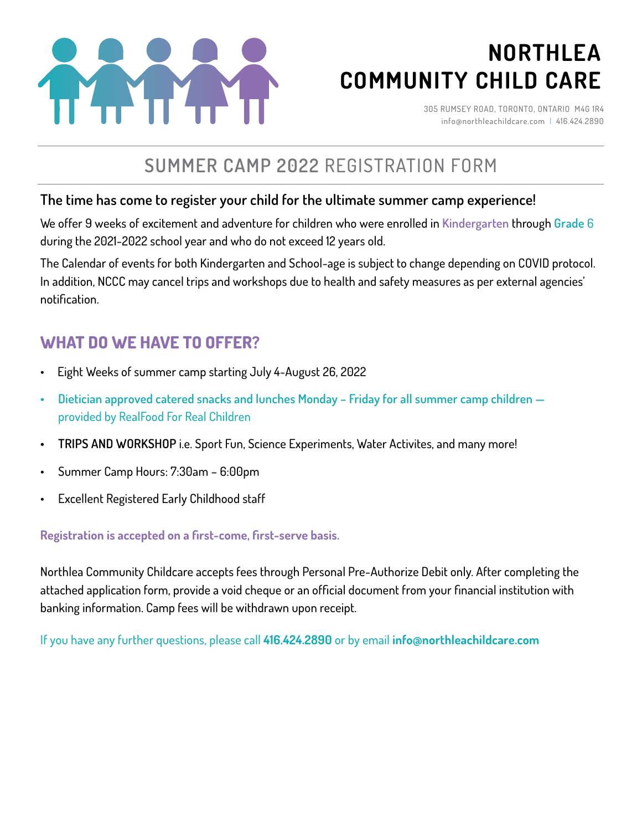

# **NORTHLEA COMMUNITY CHILD CARE**

305 RUMSEY ROAD, TORONTO, ONTARIO M4G 1R4 info@northleachildcare.com | 416.424.2890

# **SUMMER CAMP 2022** REGISTRATION FORM

### **The time has come to register your child for the ultimate summer camp experience!**

We offer 9 weeks of excitement and adventure for children who were enrolled in **Kindergarten** through **Grade** 6 during the 2021-2022 school year and who do not exceed 12 years old.

The Calendar of events for both Kindergarten and School-age is subject to change depending on COVID protocol. In addition, NCCC may cancel trips and workshops due to health and safety measures as per external agencies' notification.

### **WHAT DO WE HAVE TO OFFER?**

- Eight Weeks of summer camp starting July 4-August 26, 2022
- **• Dietician approved catered snacks and lunches Monday Friday for all summer camp children**  provided by RealFood For Real Children
- **• TRIPS AND WORKSHOP** i.e. Sport Fun, Science Experiments, Water Activites, and many more!
- Summer Camp Hours: 7:30am 6:00pm
- Excellent Registered Early Childhood staff

### **Registration is accepted on a first-come, first-serve basis.**

Northlea Community Childcare accepts fees through Personal Pre-Authorize Debit only. After completing the attached application form, provide a void cheque or an official document from your financial institution with banking information. Camp fees will be withdrawn upon receipt.

If you have any further questions, please call **416.424.2890** or by email **info@northleachildcare.com**